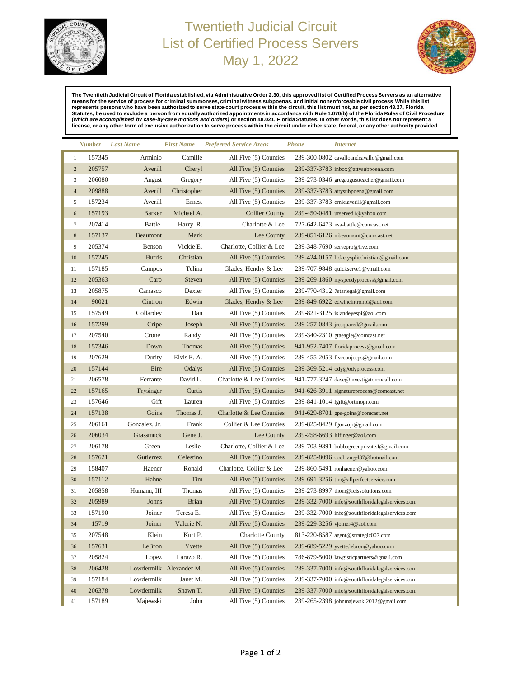

## Twentieth Judicial Circuit List of Certified Process Servers May 1, 2022



**The Twentieth Judicial Circuit of Florida established, via Administrative Order 2.30, this approved list of Certified ProcessServers as an alternative**  means for the service of process for criminal summonses, criminal witness subpoenas, and initial nonenforceable civil process. While this list<br>eppresents persons who have been authorized to serve state-court process within

|                  | Number | <b>Last Name</b> | <b>First Name</b>       | <b>Preferred Service Areas</b> | <b>Phone</b> | <i>Internet</i>                                 |
|------------------|--------|------------------|-------------------------|--------------------------------|--------------|-------------------------------------------------|
| $\mathbf{1}$     | 157345 | Arminio          | Camille                 | All Five (5) Counties          |              | 239-300-0802 cavalloandcavallo@gmail.com        |
| $\overline{2}$   | 205757 | Averill          | Cheryl                  | All Five (5) Counties          |              | 239-337-3783 inbox@attysubpoena.com             |
| 3                | 206080 | August           | Gregory                 | All Five (5) Counties          |              | 239-273-0346 gregaugustteacher@gmail.com        |
| $\overline{4}$   | 209888 | Averill          | Christopher             | All Five (5) Counties          |              | 239-337-3783 attysubpoena@gmail.com             |
| 5                | 157234 | Averill          | Ernest                  | All Five (5) Counties          |              | 239-337-3783 ernie.averill@gmail.com            |
| $\boldsymbol{6}$ | 157193 | <b>Barker</b>    | Michael A.              | <b>Collier County</b>          |              | 239-450-0481 urserved1@yahoo.com                |
| $\tau$           | 207414 | <b>Battle</b>    | Harry R.                | Charlotte & Lee                |              | 727-642-6473 nsa-battle@comcast.net             |
| $\,$ 8 $\,$      | 157137 | Beaumont         | Mark                    | Lee County                     |              | 239-851-6126 mbeaumont@comcast.net              |
| 9                | 205374 | Benson           | Vickie E.               | Charlotte, Collier & Lee       |              | 239-348-7690 servepro@live.com                  |
| 10               | 157245 | <b>Burris</b>    | Christian               | All Five (5) Counties          |              | 239-424-0157 licketysplitchristian@gmail.com    |
| 11               | 157185 | Campos           | Telina                  | Glades, Hendry & Lee           |              | 239-707-9848 quickserve1@ymail.com              |
| 12               | 205363 | Caro             | <b>Steven</b>           | All Five (5) Counties          |              | 239-269-1860 myspeedyprocess@gmail.com          |
| 13               | 205875 | Carrasco         | Dexter                  | All Five (5) Counties          |              | 239-770-4312 7 starlegal@gmail.com              |
| 14               | 90021  | Cintron          | Edwin                   | Glades, Hendry & Lee           |              | 239-849-6922 edwincintronpi@aol.com             |
| 15               | 157549 | Collardey        | Dan                     | All Five (5) Counties          |              | 239-821-3125 islandeyespi@aol.com               |
| 16               | 157299 | Cripe            | Joseph                  | All Five (5) Counties          |              | 239-257-0843 jrcsquared@gmail.com               |
| 17               | 207540 | Crone            | Randy                   | All Five (5) Counties          |              | 239-340-2310 gtaeagle@comcast.net               |
| 18               | 157346 | Down             | <b>Thomas</b>           | All Five (5) Counties          |              | 941-952-7407 floridaprocess@gmail.com           |
| 19               | 207629 | Durity           | Elvis E. A.             | All Five (5) Counties          |              | 239-455-2053 fivecoujccps@gmail.com             |
| 20               | 157144 | Eire             | Odalys                  | All Five (5) Counties          |              | 239-369-5214 ody@odyprocess.com                 |
| 21               | 206578 | Ferrante         | David L.                | Charlotte & Lee Counties       |              | 941-777-3247 dave@investigatoroncall.com        |
| 22               | 157165 | Frysinger        | Curtis                  | All Five (5) Counties          |              | 941-626-3911 signature process@comeast.net      |
| 23               | 157646 | Gift             | Lauren                  | All Five (5) Counties          |              | 239-841-1014 lgift@ortinopi.com                 |
| 24               | 157138 | Goins            | Thomas J.               | Charlotte & Lee Counties       |              | 941-629-8701 gps-goins@comcast.net              |
| 25               | 206161 | Gonzalez, Jr.    | Frank                   | Collier & Lee Counties         |              | 239-825-8429 fgonzojr@gmail.com                 |
| 26               | 206034 | Grassmuck        | Gene J.                 | Lee County                     |              | 239-258-6693 ltlfinger@aol.com                  |
| 27               | 206178 | Green            | Leslie                  | Charlotte, Collier & Lee       |              | 239-703-9391 bubbagreenprivate.I@gmail.com      |
| 28               | 157621 | Gutierrez        | Celestino               | All Five (5) Counties          |              | 239-825-8096 cool_angel37@hotmail.com           |
| 29               | 158407 | Haener           | Ronald                  | Charlotte, Collier & Lee       |              | 239-860-5491 ronhaener@yahoo.com                |
| 30               | 157112 | Hahne            | Tim                     | All Five (5) Counties          |              | 239-691-3256 tim@allperfectservice.com          |
| 31               | 205858 | Humann, III      | Thomas                  | All Five (5) Counties          |              | 239-273-8997 thom@fcissolutions.com             |
| 32               | 205989 | Johns            | <b>Brian</b>            | All Five (5) Counties          |              | 239-332-7000 info@southfloridalegalservices.com |
| 33               | 157190 | Joiner           | Teresa E.               | All Five (5) Counties          |              | 239-332-7000 info@southfloridalegalservices.com |
| 34               | 15719  | Joiner           | Valerie N.              | All Five (5) Counties          |              | 239-229-3256 vjoiner4@aol.com                   |
| 35               | 207548 | Klein            | Kurt P.                 | <b>Charlotte County</b>        |              | 813-220-8587 agent@strategic007.com             |
| 36               | 157631 | LeBron           | Yvette                  | All Five (5) Counties          |              | 239-689-5229 yvette.lebron@yahoo.com            |
| 37               | 205824 | Lopez            | Larazo R.               | All Five (5) Counties          |              | 786-879-5000 lawgisticpartners@gmail.com        |
| 38               | 206428 |                  | Lowdermilk Alexander M. | All Five (5) Counties          |              | 239-337-7000 info@southfloridalegalservices.com |
| 39               | 157184 | Lowdermilk       | Janet M.                | All Five (5) Counties          |              | 239-337-7000 info@southfloridalegalservices.com |
| 40               | 206378 | Lowdermilk       | Shawn T.                | All Five (5) Counties          |              | 239-337-7000 info@southfloridalegalservices.com |
| 41               | 157189 | Majewski         | John                    | All Five (5) Counties          |              | 239-265-2398 johnmajewski2012@gmail.com         |